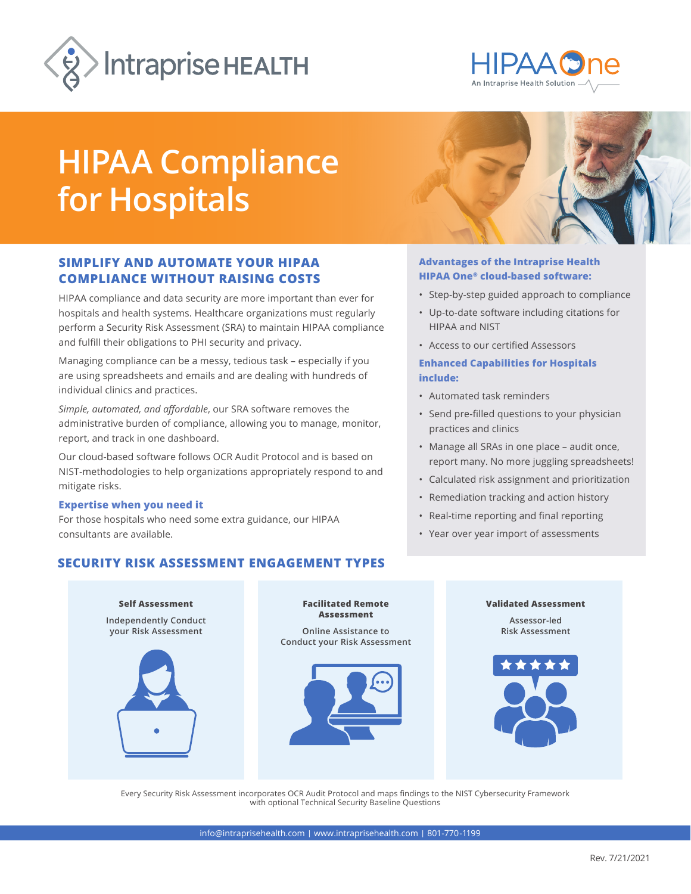



# **HIPAA Compliance for Hospitals**

# **SIMPLIFY AND AUTOMATE YOUR HIPAA COMPLIANCE WITHOUT RAISING COSTS**

HIPAA compliance and data security are more important than ever for hospitals and health systems. Healthcare organizations must regularly perform a Security Risk Assessment (SRA) to maintain HIPAA compliance and fulfill their obligations to PHI security and privacy.

Managing compliance can be a messy, tedious task – especially if you are using spreadsheets and emails and are dealing with hundreds of individual clinics and practices.

*Simple, automated, and affordable*, our SRA software removes the administrative burden of compliance, allowing you to manage, monitor, report, and track in one dashboard.

Our cloud-based software follows OCR Audit Protocol and is based on NIST-methodologies to help organizations appropriately respond to and mitigate risks.

#### **Expertise when you need it**

For those hospitals who need some extra guidance, our HIPAA consultants are available.

# **SECURITY RISK ASSESSMENT ENGAGEMENT TYPES**



### **Advantages of the Intraprise Health HIPAA One® cloud-based software:**

- Step-by-step guided approach to compliance
- Up-to-date software including citations for HIPAA and NIST
- Access to our certified Assessors

## **Enhanced Capabilities for Hospitals include:**

- Automated task reminders
- Send pre-filled questions to your physician practices and clinics
- Manage all SRAs in one place audit once, report many. No more juggling spreadsheets!
- Calculated risk assignment and prioritization
- Remediation tracking and action history
- Real-time reporting and final reporting
- Year over year import of assessments



Every Security Risk Assessment incorporates OCR Audit Protocol and maps findings to the NIST Cybersecurity Framework with optional Technical Security Baseline Questions